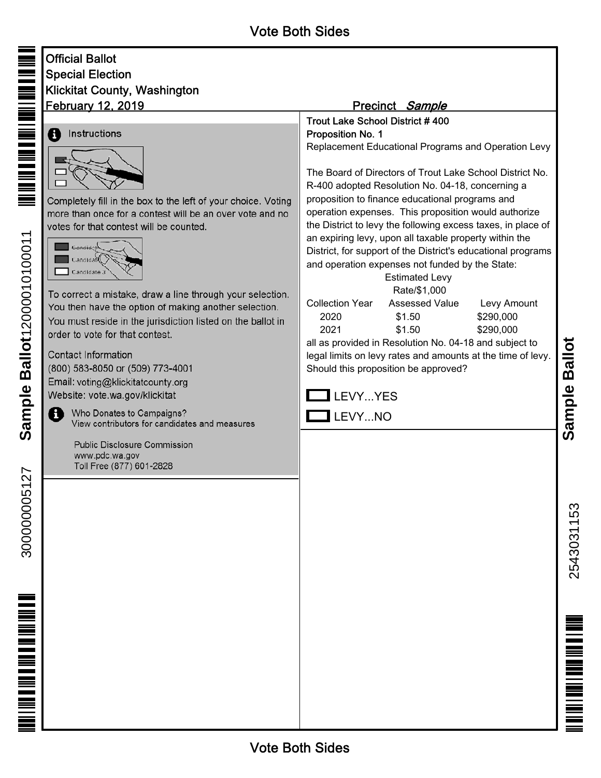| Official Ballot              |
|------------------------------|
| Special Election             |
| Klickitat County, Washington |
| <u>February 12, 2019</u>     |

## **Instructions** 8



Completely fill in the box to the left of your choice. Voting more than once for a contest will be an over vote and no votes for that contest will be counted.



To correct a mistake, draw a line through your selection. You then have the option of making another selection. You must reside in the jurisdiction listed on the ballot in order to vote for that contest.

**Contact Information** (800) 583-8050 or (509) 773-4001 Email: voting@klickitatcounty.org Website: vote.wa.gov/klickitat

> Who Donates to Campaigns? View contributors for candidates and measures

**Public Disclosure Commission** www.pdc.wa.gov Toll Free (877) 601-2828

## Precinct Sample

Trout Lake School District # 400 Proposition No. 1

Replacement Educational Programs and Operation Levy

The Board of Directors of Trout Lake School District No. R-400 adopted Resolution No. 04-18, concerning a proposition to finance educational programs and operation expenses. This proposition would authorize the District to levy the following excess taxes, in place of an expiring levy, upon all taxable property within the District, for support of the District's educational programs and operation expenses not funded by the State:

 Estimated Levy Rate/\$1,000 Collection Year Assessed Value Levy Amount 2020 \$1.50 \$290,000 2021 \$1.50 \$290,000

all as provided in Resolution No. 04-18 and subject to legal limits on levy rates and amounts at the time of levy. Should this proposition be approved?



2543031153 2543031153

<u>m i ma i ma i ma i mamma i</u>

**Sample Ballot**

Ð

300000005127

300000005127

12000010100011